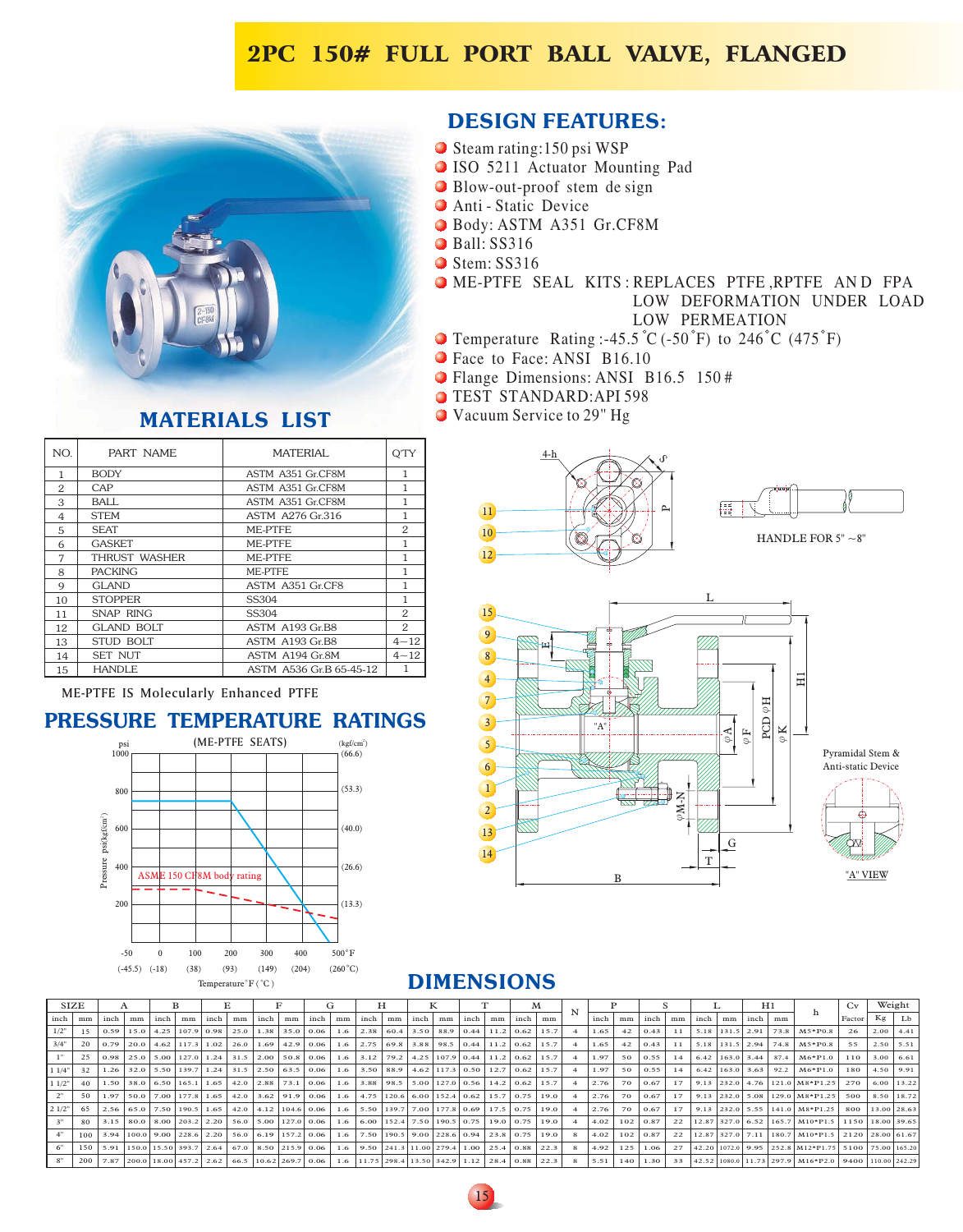## **2PC 150# FULL PORT BALL VALVE, FLANGED**



## **MATERIALS LIST**

| NO.            | PART NAME         | MATERIAI.               | O'TY         |
|----------------|-------------------|-------------------------|--------------|
| 1              | <b>BODY</b>       | ASTM A351 Gr.CF8M       | 1            |
| 2              | CAP               | ASTM A351 Gr.CF8M       | 1            |
| 3              | BALL              | ASTM A351 Gr.CF8M       | 1            |
| $\overline{4}$ | <b>STEM</b>       | ASTM A276 Gr.316        | 1            |
| 5              | <b>SEAT</b>       | ME-PTFE                 | 2            |
| 6              | <b>GASKET</b>     | ME-PTFE                 | 1            |
| 7              | THRUST WASHER     | ME-PTFE.                | 1            |
| 8              | <b>PACKING</b>    | ME-PTFE                 | 1            |
| 9              | GLAND             | ASTM A351 Gr.CF8        | 1            |
| 10             | <b>STOPPER</b>    | SS304                   | $\mathbf{1}$ |
| 11             | SNAP RING         | SS304                   | 2            |
| 12             | <b>GLAND BOLT</b> | ASTM A193 Gr.B8         | 2            |
| 13             | <b>STUD BOLT</b>  | ASTM A193 Gr.B8         | $4 - 12$     |
| 14             | <b>SET NUT</b>    | ASTM A194 Gr.8M         | $4 - 12$     |
| 15             | <b>HANDLE</b>     | ASTM A536 Gr.B 65-45-12 | 1            |

## **DESIGN FEATURES:**

- Steam rating:150 psi WSP
- I S O 5 m rating:1<br>5211 Act<br>w-out-proo 211 Actuator Mounting Pad
- Blow-out-proof stem de sign
- Anti Static Device
- B o d y : A S T M A 3 5 1 Gr.CF8M
- Ball: SS316
- Stem: SS316
- LOW PERMEATION LOW DEFORMATION UNDER LOAD ME-PTFE SEAL KITS:REPLACES PTFE,RPTFE AND FPA
- T e m perature Rating :-45.5 C (-50 F) to 246 C (475 F)
- Face to Face: ANSI B16.10
- Flange Dimensions: ANSI B16.5 150#
- T E S T S T A N D A R D : AP I 5 9 8
- Vacuum Service to 29" Hg





ME-PTFE IS Molecularly Enhanced PTFE

### **PRESSURE TEMPERATURE RATINGS**



## **DIMENSIONS**

|        | <b>SIZE</b>      |      |    |                                     |    |      |    |                      |    |                                                                         | ŧτ  |      |    |      |    |      |    |                                                                | м    |   |      |                 |                 |    |      |    | H1                    |      |                                                                      | Cv               |             | Weight      |
|--------|------------------|------|----|-------------------------------------|----|------|----|----------------------|----|-------------------------------------------------------------------------|-----|------|----|------|----|------|----|----------------------------------------------------------------|------|---|------|-----------------|-----------------|----|------|----|-----------------------|------|----------------------------------------------------------------------|------------------|-------------|-------------|
| inch   | mm               | inch | mm | inch                                | mm | inch | mm | inch                 | mm | inch                                                                    | mm  | inch | mm | inch | mm | inch | mm | inch                                                           | mm   |   | inch | mm              | inch            | mm | inch | mm | inch                  | mm   |                                                                      | Factor           |             | $Kg$ $Lb$   |
| 1/2"   | 15               | 0.59 |    | $15.0$ $4.25$ $107.9$ $0.98$ $1$    |    |      |    |                      |    | 25.0   1.38   35.0   0.06                                               |     |      |    |      |    |      |    | 1.6 2.38 60.4 3.50 88.9 0.44 11.2 0.62                         | 15.7 |   | 1.65 | 42 <sub>1</sub> | 0.43            | 11 |      |    | 5.18 131.5 2.91       |      | 73.8   M5*P0.8                                                       | 26               |             | $2.00$ 4.41 |
| 3/4"   | 20               |      |    | $0.79$   20.0   4.62   117.3   1.02 |    |      |    |                      |    | 26.0   1.69   42.9   0.06                                               |     |      |    |      |    |      |    | 1.6 2.75 69.8 3.88 98.5 0.44 11.2 0.62                         | 15.7 |   | 1.65 |                 | 0.43            | 11 |      |    | 5.18 131.5 2.94       |      | 74.8   M5*P0.8                                                       | 55               |             | $2.50$ 5.51 |
|        | 25               |      |    |                                     |    |      |    |                      |    | $0.98$   25.0   5.00   127.0   1.24   31.5   2.00   50.8   0.06         |     |      |    |      |    |      |    | 1.6 3.12 79.2 4.25 107.9 0.44 11.2 0.62                        | 15.7 |   | 1.97 | 50 L            | 0.55            | 14 |      |    | $6.42$   163.0   3.44 | 87.4 | $M6*P1.0$                                                            | 110              | $3.00$ 6.61 |             |
| 1 1/4" | 32               |      |    |                                     |    |      |    |                      |    | 1.26   32.0   5.50   139.7   1.24   31.5   2.50   63.5   0.06           |     |      |    |      |    |      |    | 1.6 3.50 88.9 4.62 117.3 0.50 12.7 0.62                        | 15.7 |   | 1.97 | 50              | 0.55            | 14 |      |    | $6.42$   163.0   3.63 | 92.2 | $M6*P1.0$                                                            | 180              |             | $4.50$ 9.91 |
| 11/2"  | 40               |      |    | 1.50 38.0 6.50 165.1 1.65           |    |      |    | $42.0$   2.88   73.1 |    | 0.06                                                                    | 1.6 |      |    |      |    |      |    | 3.88 98.5 5.00 127.0 0.56 14.2 0.62                            | 15.7 |   | 2.76 | 70 L            | 0.67            | 17 |      |    |                       |      | 9.13 232.0 4.76 121.0 M8*P1.25                                       | 270              | 6.00 13.22  |             |
|        | 50               | 1.97 |    | 50.0 7.00 177.8 1.65                |    |      |    |                      |    | 42.0 3.62 91.9 0.06                                                     |     |      |    |      |    |      |    | 1.6 4.75 120.6 6.00 152.4 0.62 15.7 0.75                       | 19.0 |   | 2.76 | 70              | 0.67            | 17 |      |    |                       |      | 9.13 232.0 5.08 129.0 M8*P1.25                                       | 500              |             | 8.50 18.72  |
| 2 1/2" | 65               | 2.56 |    | 65.0 7.50 190.5 1.65 1              |    |      |    |                      |    | $42.0$ $\mid$ 4.12 104.6 0.06 1                                         |     |      |    |      |    |      |    | 1.6 5.50 139.7 7.00 177.8 0.69 17.5 0.75                       | 19.0 |   | 2.76 | 70 I            | 0.67            | 17 |      |    |                       |      | 9.13 232.0 5.55 141.0 M8*P1.25                                       | 800              | 13.00 28.63 |             |
|        | 80               | 3.15 |    | 80.0 8.00 203.2 2.20                |    |      |    |                      |    | 56.0 5.00 127.0 0.06                                                    |     |      |    |      |    |      |    | 1.6 6.00 152.4 7.50 190.5 0.75 19.0 0.75                       | 19.0 |   | 4.02 |                 | $102 \mid 0.87$ | 22 |      |    |                       |      | 12.87 327.0 6.52 165.7 M10*P1.5                                      | 1150 18.00 39.65 |             |             |
|        | 100              |      |    |                                     |    |      |    |                      |    | 3.94 100.0 9.00 228.6 2.20 56.0 6.19 157.2 0.06                         | 1.6 |      |    |      |    |      |    | $\mid$ 7.50   190.5   9.00   228.6   0.94   23.8   0.75   19.0 |      |   | 4.02 |                 | $102$ 0.87      | 22 |      |    |                       |      | 12.87 327.0 7.11 180.7   M10*P1.5   2120   28.00   61.67             |                  |             |             |
|        | 150 <sub>1</sub> |      |    |                                     |    |      |    |                      |    | 5.91 150.0 15.50 393.7 2.64 67.0 8.50 215.9 0.06                        |     |      |    |      |    |      |    | 1.6 9.50 241.3 11.00 279.4 1.00 25.4 0.88 22.3                 |      |   | 4.92 | 125             | 1.06            | 27 |      |    |                       |      | 42.20 1072.0 9.95 252.8 M12*P1.75 5100 75.00 165.20                  |                  |             |             |
|        |                  |      |    |                                     |    |      |    |                      |    | 200   7.87   200.0   18.00   457.2   2.62   66.5   10.62   269.7   0.06 |     |      |    |      |    |      |    | 1.6   11.75   298.4   13.50   342.9   1.12   28.4   0.88       | 22.3 | 8 | 5.51 | 140             | 1.30            | 33 |      |    |                       |      | $42.52$   1080.0   11.73   297.9   M16*P2.0   9400   110.00   242.29 |                  |             |             |